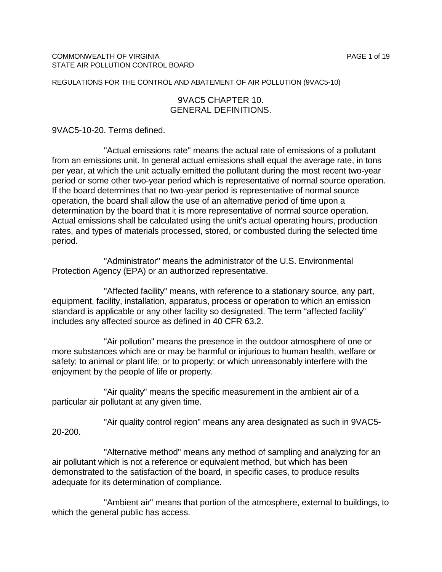# 9VAC5 CHAPTER 10. GENERAL DEFINITIONS.

9VAC5-10-20. Terms defined.

"Actual emissions rate" means the actual rate of emissions of a pollutant from an emissions unit. In general actual emissions shall equal the average rate, in tons per year, at which the unit actually emitted the pollutant during the most recent two-year period or some other two-year period which is representative of normal source operation. If the board determines that no two-year period is representative of normal source operation, the board shall allow the use of an alternative period of time upon a determination by the board that it is more representative of normal source operation. Actual emissions shall be calculated using the unit's actual operating hours, production rates, and types of materials processed, stored, or combusted during the selected time period.

"Administrator" means the administrator of the U.S. Environmental Protection Agency (EPA) or an authorized representative.

"Affected facility" means, with reference to a stationary source, any part, equipment, facility, installation, apparatus, process or operation to which an emission standard is applicable or any other facility so designated. The term "affected facility" includes any affected source as defined in 40 CFR 63.2.

"Air pollution" means the presence in the outdoor atmosphere of one or more substances which are or may be harmful or injurious to human health, welfare or safety; to animal or plant life; or to property; or which unreasonably interfere with the enjoyment by the people of life or property.

"Air quality" means the specific measurement in the ambient air of a particular air pollutant at any given time.

"Air quality control region" means any area designated as such in 9VAC5- 20-200.

"Alternative method" means any method of sampling and analyzing for an air pollutant which is not a reference or equivalent method, but which has been demonstrated to the satisfaction of the board, in specific cases, to produce results adequate for its determination of compliance.

"Ambient air" means that portion of the atmosphere, external to buildings, to which the general public has access.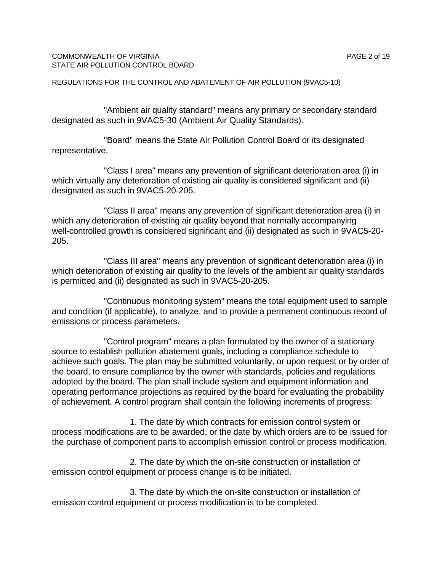#### COMMONWEALTH OF VIRGINIA **PAGE 2 of 19** STATE AIR POLLUTION CONTROL BOARD

"Ambient air quality standard" means any primary or secondary standard designated as such in 9VAC5-30 (Ambient Air Quality Standards).

"Board" means the State Air Pollution Control Board or its designated representative.

"Class I area" means any prevention of significant deterioration area (i) in which virtually any deterioration of existing air quality is considered significant and (ii) designated as such in 9VAC5-20-205.

"Class II area" means any prevention of significant deterioration area (i) in which any deterioration of existing air quality beyond that normally accompanying well-controlled growth is considered significant and (ii) designated as such in 9VAC5-20- 205.

"Class III area" means any prevention of significant deterioration area (i) in which deterioration of existing air quality to the levels of the ambient air quality standards is permitted and (ii) designated as such in 9VAC5-20-205.

"Continuous monitoring system" means the total equipment used to sample and condition (if applicable), to analyze, and to provide a permanent continuous record of emissions or process parameters.

"Control program" means a plan formulated by the owner of a stationary source to establish pollution abatement goals, including a compliance schedule to achieve such goals. The plan may be submitted voluntarily, or upon request or by order of the board, to ensure compliance by the owner with standards, policies and regulations adopted by the board. The plan shall include system and equipment information and operating performance projections as required by the board for evaluating the probability of achievement. A control program shall contain the following increments of progress:

1. The date by which contracts for emission control system or process modifications are to be awarded, or the date by which orders are to be issued for the purchase of component parts to accomplish emission control or process modification.

2. The date by which the on-site construction or installation of emission control equipment or process change is to be initiated.

3. The date by which the on-site construction or installation of emission control equipment or process modification is to be completed.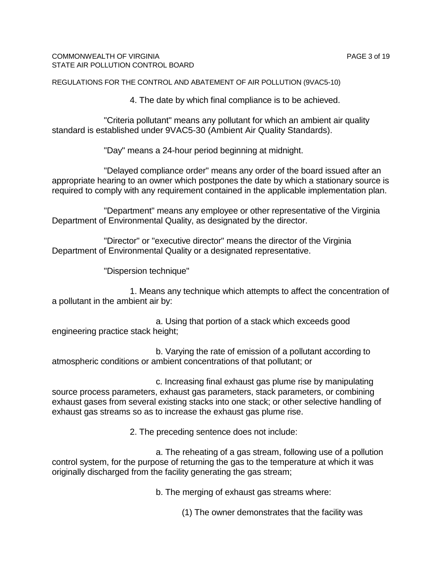#### COMMONWEALTH OF VIRGINIA **PAGE 3 of 19** STATE AIR POLLUTION CONTROL BOARD

REGULATIONS FOR THE CONTROL AND ABATEMENT OF AIR POLLUTION (9VAC5-10)

4. The date by which final compliance is to be achieved.

"Criteria pollutant" means any pollutant for which an ambient air quality standard is established under 9VAC5-30 (Ambient Air Quality Standards).

"Day" means a 24-hour period beginning at midnight.

"Delayed compliance order" means any order of the board issued after an appropriate hearing to an owner which postpones the date by which a stationary source is required to comply with any requirement contained in the applicable implementation plan.

"Department" means any employee or other representative of the Virginia Department of Environmental Quality, as designated by the director.

"Director" or "executive director" means the director of the Virginia Department of Environmental Quality or a designated representative.

"Dispersion technique"

1. Means any technique which attempts to affect the concentration of a pollutant in the ambient air by:

a. Using that portion of a stack which exceeds good engineering practice stack height;

b. Varying the rate of emission of a pollutant according to atmospheric conditions or ambient concentrations of that pollutant; or

c. Increasing final exhaust gas plume rise by manipulating source process parameters, exhaust gas parameters, stack parameters, or combining exhaust gases from several existing stacks into one stack; or other selective handling of exhaust gas streams so as to increase the exhaust gas plume rise.

2. The preceding sentence does not include:

a. The reheating of a gas stream, following use of a pollution control system, for the purpose of returning the gas to the temperature at which it was originally discharged from the facility generating the gas stream;

b. The merging of exhaust gas streams where:

(1) The owner demonstrates that the facility was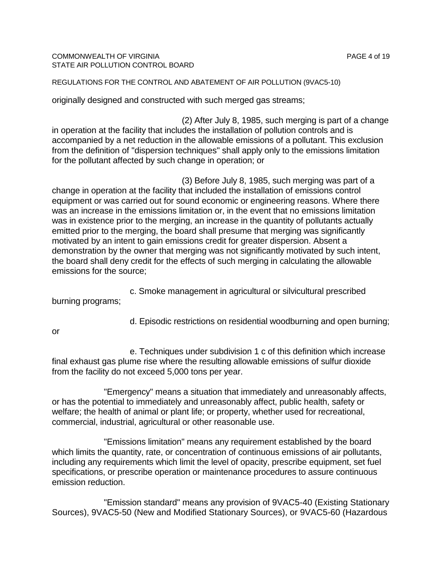## COMMONWEALTH OF VIRGINIA **PAGE 4 of 19** STATE AIR POLLUTION CONTROL BOARD

# REGULATIONS FOR THE CONTROL AND ABATEMENT OF AIR POLLUTION (9VAC5-10)

originally designed and constructed with such merged gas streams;

(2) After July 8, 1985, such merging is part of a change in operation at the facility that includes the installation of pollution controls and is accompanied by a net reduction in the allowable emissions of a pollutant. This exclusion from the definition of "dispersion techniques" shall apply only to the emissions limitation for the pollutant affected by such change in operation; or

(3) Before July 8, 1985, such merging was part of a change in operation at the facility that included the installation of emissions control equipment or was carried out for sound economic or engineering reasons. Where there was an increase in the emissions limitation or, in the event that no emissions limitation was in existence prior to the merging, an increase in the quantity of pollutants actually emitted prior to the merging, the board shall presume that merging was significantly motivated by an intent to gain emissions credit for greater dispersion. Absent a demonstration by the owner that merging was not significantly motivated by such intent, the board shall deny credit for the effects of such merging in calculating the allowable emissions for the source;

c. Smoke management in agricultural or silvicultural prescribed burning programs;

d. Episodic restrictions on residential woodburning and open burning;

or

e. Techniques under subdivision 1 c of this definition which increase final exhaust gas plume rise where the resulting allowable emissions of sulfur dioxide from the facility do not exceed 5,000 tons per year.

"Emergency" means a situation that immediately and unreasonably affects, or has the potential to immediately and unreasonably affect, public health, safety or welfare; the health of animal or plant life; or property, whether used for recreational, commercial, industrial, agricultural or other reasonable use.

"Emissions limitation" means any requirement established by the board which limits the quantity, rate, or concentration of continuous emissions of air pollutants, including any requirements which limit the level of opacity, prescribe equipment, set fuel specifications, or prescribe operation or maintenance procedures to assure continuous emission reduction.

"Emission standard" means any provision of 9VAC5-40 (Existing Stationary Sources), 9VAC5-50 (New and Modified Stationary Sources), or 9VAC5-60 (Hazardous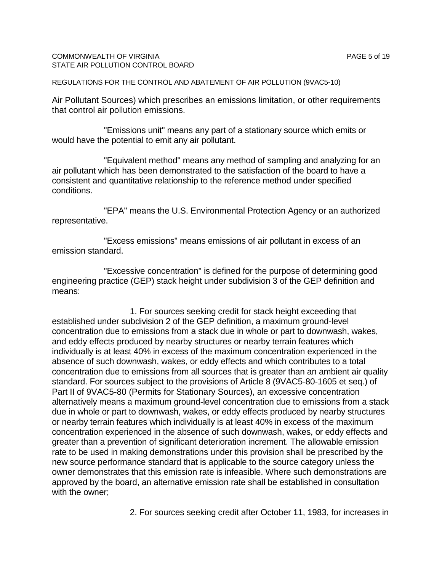## COMMONWEALTH OF VIRGINIA **PAGE 5** of 19 STATE AIR POLLUTION CONTROL BOARD

REGULATIONS FOR THE CONTROL AND ABATEMENT OF AIR POLLUTION (9VAC5-10)

Air Pollutant Sources) which prescribes an emissions limitation, or other requirements that control air pollution emissions.

"Emissions unit" means any part of a stationary source which emits or would have the potential to emit any air pollutant.

"Equivalent method" means any method of sampling and analyzing for an air pollutant which has been demonstrated to the satisfaction of the board to have a consistent and quantitative relationship to the reference method under specified conditions.

"EPA" means the U.S. Environmental Protection Agency or an authorized representative.

"Excess emissions" means emissions of air pollutant in excess of an emission standard.

"Excessive concentration" is defined for the purpose of determining good engineering practice (GEP) stack height under subdivision 3 of the GEP definition and means:

1. For sources seeking credit for stack height exceeding that established under subdivision 2 of the GEP definition, a maximum ground-level concentration due to emissions from a stack due in whole or part to downwash, wakes, and eddy effects produced by nearby structures or nearby terrain features which individually is at least 40% in excess of the maximum concentration experienced in the absence of such downwash, wakes, or eddy effects and which contributes to a total concentration due to emissions from all sources that is greater than an ambient air quality standard. For sources subject to the provisions of Article 8 (9VAC5-80-1605 et seq.) of Part II of 9VAC5-80 (Permits for Stationary Sources), an excessive concentration alternatively means a maximum ground-level concentration due to emissions from a stack due in whole or part to downwash, wakes, or eddy effects produced by nearby structures or nearby terrain features which individually is at least 40% in excess of the maximum concentration experienced in the absence of such downwash, wakes, or eddy effects and greater than a prevention of significant deterioration increment. The allowable emission rate to be used in making demonstrations under this provision shall be prescribed by the new source performance standard that is applicable to the source category unless the owner demonstrates that this emission rate is infeasible. Where such demonstrations are approved by the board, an alternative emission rate shall be established in consultation with the owner:

2. For sources seeking credit after October 11, 1983, for increases in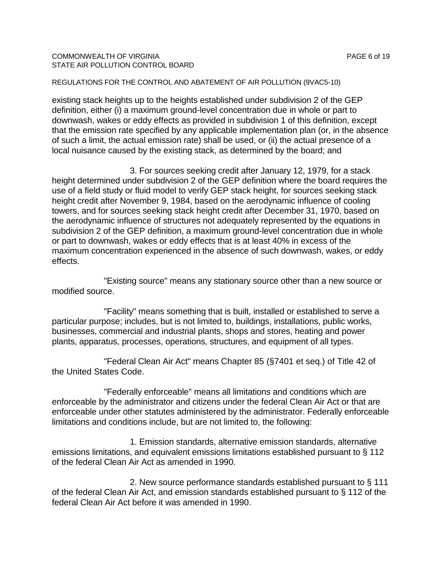## COMMONWEALTH OF VIRGINIA **PAGE 6** of 19 STATE AIR POLLUTION CONTROL BOARD

## REGULATIONS FOR THE CONTROL AND ABATEMENT OF AIR POLLUTION (9VAC5-10)

existing stack heights up to the heights established under subdivision 2 of the GEP definition, either (i) a maximum ground-level concentration due in whole or part to downwash, wakes or eddy effects as provided in subdivision 1 of this definition, except that the emission rate specified by any applicable implementation plan (or, in the absence of such a limit, the actual emission rate) shall be used, or (ii) the actual presence of a local nuisance caused by the existing stack, as determined by the board; and

3. For sources seeking credit after January 12, 1979, for a stack height determined under subdivision 2 of the GEP definition where the board requires the use of a field study or fluid model to verify GEP stack height, for sources seeking stack height credit after November 9, 1984, based on the aerodynamic influence of cooling towers, and for sources seeking stack height credit after December 31, 1970, based on the aerodynamic influence of structures not adequately represented by the equations in subdivision 2 of the GEP definition, a maximum ground-level concentration due in whole or part to downwash, wakes or eddy effects that is at least 40% in excess of the maximum concentration experienced in the absence of such downwash, wakes, or eddy effects.

"Existing source" means any stationary source other than a new source or modified source.

"Facility" means something that is built, installed or established to serve a particular purpose; includes, but is not limited to, buildings, installations, public works, businesses, commercial and industrial plants, shops and stores, heating and power plants, apparatus, processes, operations, structures, and equipment of all types.

"Federal Clean Air Act" means Chapter 85 (§7401 et seq.) of Title 42 of the United States Code.

"Federally enforceable" means all limitations and conditions which are enforceable by the administrator and citizens under the federal Clean Air Act or that are enforceable under other statutes administered by the administrator. Federally enforceable limitations and conditions include, but are not limited to, the following:

1. Emission standards, alternative emission standards, alternative emissions limitations, and equivalent emissions limitations established pursuant to § 112 of the federal Clean Air Act as amended in 1990.

2. New source performance standards established pursuant to § 111 of the federal Clean Air Act, and emission standards established pursuant to § 112 of the federal Clean Air Act before it was amended in 1990.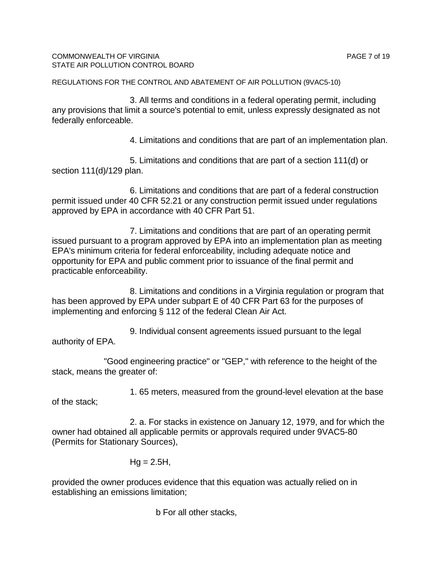3. All terms and conditions in a federal operating permit, including any provisions that limit a source's potential to emit, unless expressly designated as not federally enforceable.

4. Limitations and conditions that are part of an implementation plan.

5. Limitations and conditions that are part of a section 111(d) or section 111(d)/129 plan.

6. Limitations and conditions that are part of a federal construction permit issued under 40 CFR 52.21 or any construction permit issued under regulations approved by EPA in accordance with 40 CFR Part 51.

7. Limitations and conditions that are part of an operating permit issued pursuant to a program approved by EPA into an implementation plan as meeting EPA's minimum criteria for federal enforceability, including adequate notice and opportunity for EPA and public comment prior to issuance of the final permit and practicable enforceability.

8. Limitations and conditions in a Virginia regulation or program that has been approved by EPA under subpart E of 40 CFR Part 63 for the purposes of implementing and enforcing § 112 of the federal Clean Air Act.

9. Individual consent agreements issued pursuant to the legal authority of EPA.

"Good engineering practice" or "GEP," with reference to the height of the stack, means the greater of:

1. 65 meters, measured from the ground-level elevation at the base

of the stack;

2. a. For stacks in existence on January 12, 1979, and for which the owner had obtained all applicable permits or approvals required under 9VAC5-80 (Permits for Stationary Sources),

$$
Hg = 2.5H,
$$

provided the owner produces evidence that this equation was actually relied on in establishing an emissions limitation;

b For all other stacks,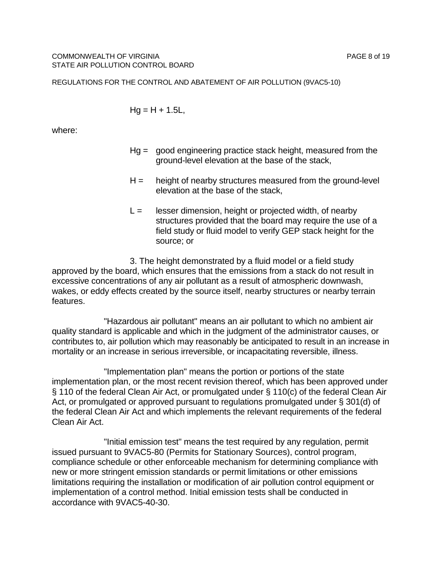$$
Hg = H + 1.5L,
$$

where:

- Hg = good engineering practice stack height, measured from the ground-level elevation at the base of the stack,
- $H =$  height of nearby structures measured from the ground-level elevation at the base of the stack,
- $L =$  lesser dimension, height or projected width, of nearby structures provided that the board may require the use of a field study or fluid model to verify GEP stack height for the source; or

3. The height demonstrated by a fluid model or a field study approved by the board, which ensures that the emissions from a stack do not result in excessive concentrations of any air pollutant as a result of atmospheric downwash, wakes, or eddy effects created by the source itself, nearby structures or nearby terrain features.

"Hazardous air pollutant" means an air pollutant to which no ambient air quality standard is applicable and which in the judgment of the administrator causes, or contributes to, air pollution which may reasonably be anticipated to result in an increase in mortality or an increase in serious irreversible, or incapacitating reversible, illness.

"Implementation plan" means the portion or portions of the state implementation plan, or the most recent revision thereof, which has been approved under § 110 of the federal Clean Air Act, or promulgated under § 110(c) of the federal Clean Air Act, or promulgated or approved pursuant to regulations promulgated under § 301(d) of the federal Clean Air Act and which implements the relevant requirements of the federal Clean Air Act.

"Initial emission test" means the test required by any regulation, permit issued pursuant to 9VAC5-80 (Permits for Stationary Sources), control program, compliance schedule or other enforceable mechanism for determining compliance with new or more stringent emission standards or permit limitations or other emissions limitations requiring the installation or modification of air pollution control equipment or implementation of a control method. Initial emission tests shall be conducted in accordance with 9VAC5-40-30.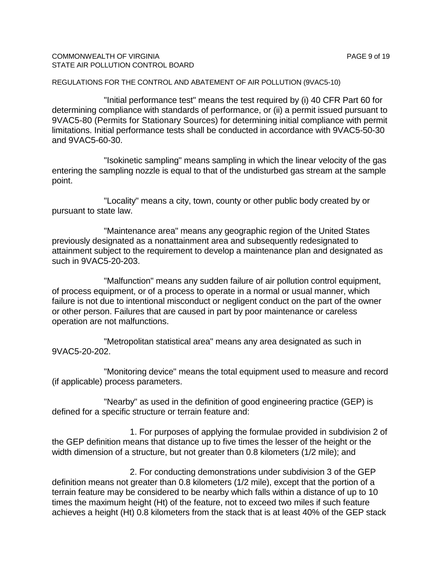### COMMONWEALTH OF VIRGINIA **PAGE 9 of 19** STATE AIR POLLUTION CONTROL BOARD

REGULATIONS FOR THE CONTROL AND ABATEMENT OF AIR POLLUTION (9VAC5-10)

"Initial performance test" means the test required by (i) 40 CFR Part 60 for determining compliance with standards of performance, or (ii) a permit issued pursuant to 9VAC5-80 (Permits for Stationary Sources) for determining initial compliance with permit limitations. Initial performance tests shall be conducted in accordance with 9VAC5-50-30 and 9VAC5-60-30.

"Isokinetic sampling" means sampling in which the linear velocity of the gas entering the sampling nozzle is equal to that of the undisturbed gas stream at the sample point.

"Locality" means a city, town, county or other public body created by or pursuant to state law.

"Maintenance area" means any geographic region of the United States previously designated as a nonattainment area and subsequently redesignated to attainment subject to the requirement to develop a maintenance plan and designated as such in 9VAC5-20-203.

"Malfunction" means any sudden failure of air pollution control equipment, of process equipment, or of a process to operate in a normal or usual manner, which failure is not due to intentional misconduct or negligent conduct on the part of the owner or other person. Failures that are caused in part by poor maintenance or careless operation are not malfunctions.

"Metropolitan statistical area" means any area designated as such in 9VAC5-20-202.

"Monitoring device" means the total equipment used to measure and record (if applicable) process parameters.

"Nearby" as used in the definition of good engineering practice (GEP) is defined for a specific structure or terrain feature and:

1. For purposes of applying the formulae provided in subdivision 2 of the GEP definition means that distance up to five times the lesser of the height or the width dimension of a structure, but not greater than 0.8 kilometers (1/2 mile); and

2. For conducting demonstrations under subdivision 3 of the GEP definition means not greater than 0.8 kilometers (1/2 mile), except that the portion of a terrain feature may be considered to be nearby which falls within a distance of up to 10 times the maximum height (Ht) of the feature, not to exceed two miles if such feature achieves a height (Ht) 0.8 kilometers from the stack that is at least 40% of the GEP stack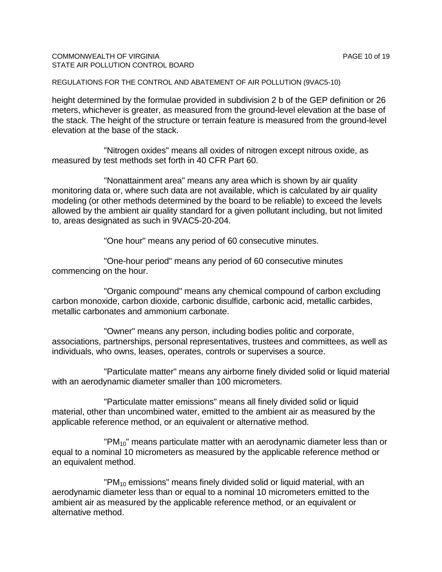## COMMONWEALTH OF VIRGINIA PAGE 10 of 19 STATE AIR POLLUTION CONTROL BOARD

REGULATIONS FOR THE CONTROL AND ABATEMENT OF AIR POLLUTION (9VAC5-10)

height determined by the formulae provided in subdivision 2 b of the GEP definition or 26 meters, whichever is greater, as measured from the ground-level elevation at the base of the stack. The height of the structure or terrain feature is measured from the ground-level elevation at the base of the stack.

"Nitrogen oxides" means all oxides of nitrogen except nitrous oxide, as measured by test methods set forth in 40 CFR Part 60.

"Nonattainment area" means any area which is shown by air quality monitoring data or, where such data are not available, which is calculated by air quality modeling (or other methods determined by the board to be reliable) to exceed the levels allowed by the ambient air quality standard for a given pollutant including, but not limited to, areas designated as such in 9VAC5-20-204.

"One hour" means any period of 60 consecutive minutes.

"One-hour period" means any period of 60 consecutive minutes commencing on the hour.

"Organic compound" means any chemical compound of carbon excluding carbon monoxide, carbon dioxide, carbonic disulfide, carbonic acid, metallic carbides, metallic carbonates and ammonium carbonate.

"Owner" means any person, including bodies politic and corporate, associations, partnerships, personal representatives, trustees and committees, as well as individuals, who owns, leases, operates, controls or supervises a source.

"Particulate matter" means any airborne finely divided solid or liquid material with an aerodynamic diameter smaller than 100 micrometers.

"Particulate matter emissions" means all finely divided solid or liquid material, other than uncombined water, emitted to the ambient air as measured by the applicable reference method, or an equivalent or alternative method.

"PM $_{10}$ " means particulate matter with an aerodynamic diameter less than or equal to a nominal 10 micrometers as measured by the applicable reference method or an equivalent method.

"PM $_{10}$  emissions" means finely divided solid or liquid material, with an aerodynamic diameter less than or equal to a nominal 10 micrometers emitted to the ambient air as measured by the applicable reference method, or an equivalent or alternative method.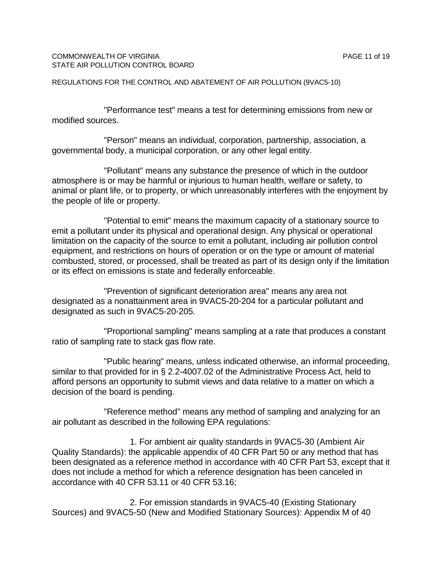"Performance test" means a test for determining emissions from new or modified sources.

"Person" means an individual, corporation, partnership, association, a governmental body, a municipal corporation, or any other legal entity.

"Pollutant" means any substance the presence of which in the outdoor atmosphere is or may be harmful or injurious to human health, welfare or safety, to animal or plant life, or to property, or which unreasonably interferes with the enjoyment by the people of life or property.

"Potential to emit" means the maximum capacity of a stationary source to emit a pollutant under its physical and operational design. Any physical or operational limitation on the capacity of the source to emit a pollutant, including air pollution control equipment, and restrictions on hours of operation or on the type or amount of material combusted, stored, or processed, shall be treated as part of its design only if the limitation or its effect on emissions is state and federally enforceable.

"Prevention of significant deterioration area" means any area not designated as a nonattainment area in 9VAC5-20-204 for a particular pollutant and designated as such in 9VAC5-20-205.

"Proportional sampling" means sampling at a rate that produces a constant ratio of sampling rate to stack gas flow rate.

"Public hearing" means, unless indicated otherwise, an informal proceeding, similar to that provided for in § 2.2-4007.02 of the Administrative Process Act, held to afford persons an opportunity to submit views and data relative to a matter on which a decision of the board is pending.

"Reference method" means any method of sampling and analyzing for an air pollutant as described in the following EPA regulations:

1. For ambient air quality standards in 9VAC5-30 (Ambient Air Quality Standards): the applicable appendix of 40 CFR Part 50 or any method that has been designated as a reference method in accordance with 40 CFR Part 53, except that it does not include a method for which a reference designation has been canceled in accordance with 40 CFR 53.11 or 40 CFR 53.16;

2. For emission standards in 9VAC5-40 (Existing Stationary Sources) and 9VAC5-50 (New and Modified Stationary Sources): Appendix M of 40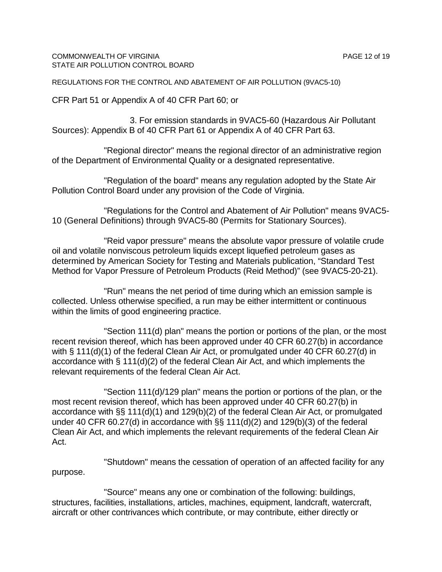#### COMMONWEALTH OF VIRGINIA PAGE 12 of 19 STATE AIR POLLUTION CONTROL BOARD

REGULATIONS FOR THE CONTROL AND ABATEMENT OF AIR POLLUTION (9VAC5-10)

CFR Part 51 or Appendix A of 40 CFR Part 60; or

3. For emission standards in 9VAC5-60 (Hazardous Air Pollutant Sources): Appendix B of 40 CFR Part 61 or Appendix A of 40 CFR Part 63.

"Regional director" means the regional director of an administrative region of the Department of Environmental Quality or a designated representative.

"Regulation of the board" means any regulation adopted by the State Air Pollution Control Board under any provision of the Code of Virginia.

"Regulations for the Control and Abatement of Air Pollution" means 9VAC5- 10 (General Definitions) through 9VAC5-80 (Permits for Stationary Sources).

"Reid vapor pressure" means the absolute vapor pressure of volatile crude oil and volatile nonviscous petroleum liquids except liquefied petroleum gases as determined by American Society for Testing and Materials publication, "Standard Test Method for Vapor Pressure of Petroleum Products (Reid Method)" (see 9VAC5-20-21).

"Run" means the net period of time during which an emission sample is collected. Unless otherwise specified, a run may be either intermittent or continuous within the limits of good engineering practice.

"Section 111(d) plan" means the portion or portions of the plan, or the most recent revision thereof, which has been approved under 40 CFR 60.27(b) in accordance with § 111(d)(1) of the federal Clean Air Act, or promulgated under 40 CFR 60.27(d) in accordance with § 111(d)(2) of the federal Clean Air Act, and which implements the relevant requirements of the federal Clean Air Act.

"Section 111(d)/129 plan" means the portion or portions of the plan, or the most recent revision thereof, which has been approved under 40 CFR 60.27(b) in accordance with §§ 111(d)(1) and 129(b)(2) of the federal Clean Air Act, or promulgated under 40 CFR 60.27(d) in accordance with §§ 111(d)(2) and 129(b)(3) of the federal Clean Air Act, and which implements the relevant requirements of the federal Clean Air Act.

"Shutdown" means the cessation of operation of an affected facility for any purpose.

"Source" means any one or combination of the following: buildings, structures, facilities, installations, articles, machines, equipment, landcraft, watercraft, aircraft or other contrivances which contribute, or may contribute, either directly or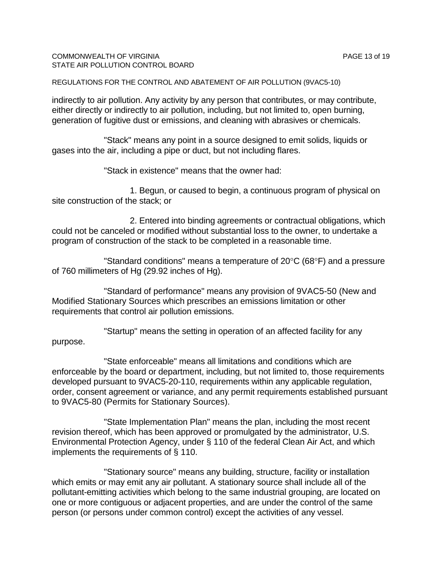## COMMONWEALTH OF VIRGINIA PAGE 13 of 19 STATE AIR POLLUTION CONTROL BOARD

REGULATIONS FOR THE CONTROL AND ABATEMENT OF AIR POLLUTION (9VAC5-10)

indirectly to air pollution. Any activity by any person that contributes, or may contribute, either directly or indirectly to air pollution, including, but not limited to, open burning, generation of fugitive dust or emissions, and cleaning with abrasives or chemicals.

"Stack" means any point in a source designed to emit solids, liquids or gases into the air, including a pipe or duct, but not including flares.

"Stack in existence" means that the owner had:

1. Begun, or caused to begin, a continuous program of physical on site construction of the stack; or

2. Entered into binding agreements or contractual obligations, which could not be canceled or modified without substantial loss to the owner, to undertake a program of construction of the stack to be completed in a reasonable time.

"Standard conditions" means a temperature of 20°C (68°F) and a pressure of 760 millimeters of Hg (29.92 inches of Hg).

"Standard of performance" means any provision of 9VAC5-50 (New and Modified Stationary Sources which prescribes an emissions limitation or other requirements that control air pollution emissions.

"Startup" means the setting in operation of an affected facility for any purpose.

"State enforceable" means all limitations and conditions which are enforceable by the board or department, including, but not limited to, those requirements developed pursuant to 9VAC5-20-110, requirements within any applicable regulation, order, consent agreement or variance, and any permit requirements established pursuant to 9VAC5-80 (Permits for Stationary Sources).

"State Implementation Plan" means the plan, including the most recent revision thereof, which has been approved or promulgated by the administrator, U.S. Environmental Protection Agency, under § 110 of the federal Clean Air Act, and which implements the requirements of § 110.

"Stationary source" means any building, structure, facility or installation which emits or may emit any air pollutant. A stationary source shall include all of the pollutant-emitting activities which belong to the same industrial grouping, are located on one or more contiguous or adjacent properties, and are under the control of the same person (or persons under common control) except the activities of any vessel.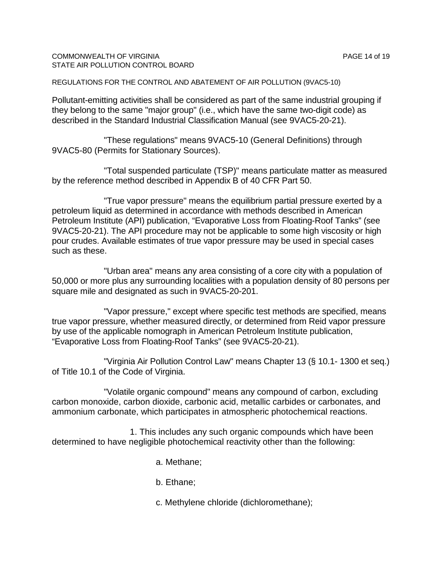## COMMONWEALTH OF VIRGINIA PAGE 14 of 19 STATE AIR POLLUTION CONTROL BOARD

REGULATIONS FOR THE CONTROL AND ABATEMENT OF AIR POLLUTION (9VAC5-10)

Pollutant-emitting activities shall be considered as part of the same industrial grouping if they belong to the same "major group" (i.e., which have the same two-digit code) as described in the Standard Industrial Classification Manual (see 9VAC5-20-21).

"These regulations" means 9VAC5-10 (General Definitions) through 9VAC5-80 (Permits for Stationary Sources).

"Total suspended particulate (TSP)" means particulate matter as measured by the reference method described in Appendix B of 40 CFR Part 50.

"True vapor pressure" means the equilibrium partial pressure exerted by a petroleum liquid as determined in accordance with methods described in American Petroleum Institute (API) publication, "Evaporative Loss from Floating-Roof Tanks" (see 9VAC5-20-21). The API procedure may not be applicable to some high viscosity or high pour crudes. Available estimates of true vapor pressure may be used in special cases such as these.

"Urban area" means any area consisting of a core city with a population of 50,000 or more plus any surrounding localities with a population density of 80 persons per square mile and designated as such in 9VAC5-20-201.

"Vapor pressure," except where specific test methods are specified, means true vapor pressure, whether measured directly, or determined from Reid vapor pressure by use of the applicable nomograph in American Petroleum Institute publication, "Evaporative Loss from Floating-Roof Tanks" (see 9VAC5-20-21).

"Virginia Air Pollution Control Law" means Chapter 13 (§ 10.1- 1300 et seq.) of Title 10.1 of the Code of Virginia.

"Volatile organic compound" means any compound of carbon, excluding carbon monoxide, carbon dioxide, carbonic acid, metallic carbides or carbonates, and ammonium carbonate, which participates in atmospheric photochemical reactions.

1. This includes any such organic compounds which have been determined to have negligible photochemical reactivity other than the following:

a. Methane;

b. Ethane;

c. Methylene chloride (dichloromethane);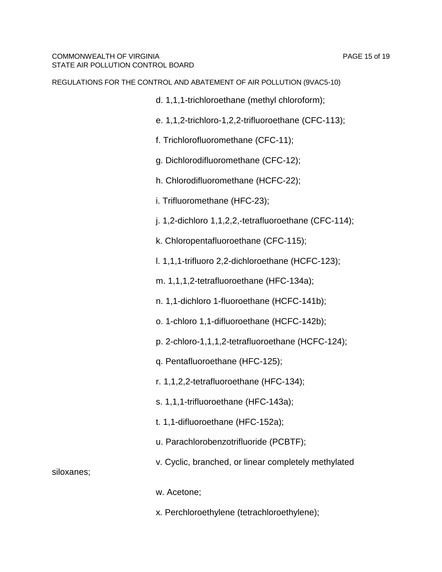- d. 1,1,1-trichloroethane (methyl chloroform);
- e. 1,1,2-trichloro-1,2,2-trifluoroethane (CFC-113);
- f. Trichlorofluoromethane (CFC-11);
- g. Dichlorodifluoromethane (CFC-12);
- h. Chlorodifluoromethane (HCFC-22);
- i. Trifluoromethane (HFC-23);
- j. 1,2-dichloro 1,1,2,2,-tetrafluoroethane (CFC-114);
- k. Chloropentafluoroethane (CFC-115);
- l. 1,1,1-trifluoro 2,2-dichloroethane (HCFC-123);
- m. 1,1,1,2-tetrafluoroethane (HFC-134a);
- n. 1,1-dichloro 1-fluoroethane (HCFC-141b);
- o. 1-chloro 1,1-difluoroethane (HCFC-142b);
- p. 2-chloro-1,1,1,2-tetrafluoroethane (HCFC-124);
- q. Pentafluoroethane (HFC-125);
- r. 1,1,2,2-tetrafluoroethane (HFC-134);
- s. 1,1,1-trifluoroethane (HFC-143a);
- t. 1,1-difluoroethane (HFC-152a);
- u. Parachlorobenzotrifluoride (PCBTF);
- v. Cyclic, branched, or linear completely methylated

siloxanes;

- w. Acetone;
- x. Perchloroethylene (tetrachloroethylene);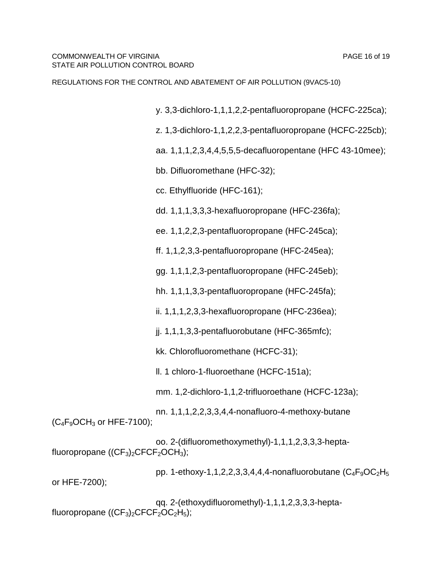y. 3,3-dichloro-1,1,1,2,2-pentafluoropropane (HCFC-225ca);

z. 1,3-dichloro-1,1,2,2,3-pentafluoropropane (HCFC-225cb);

aa. 1,1,1,2,3,4,4,5,5,5-decafluoropentane (HFC 43-10mee);

bb. Difluoromethane (HFC-32);

cc. Ethylfluoride (HFC-161);

dd. 1,1,1,3,3,3-hexafluoropropane (HFC-236fa);

ee. 1,1,2,2,3-pentafluoropropane (HFC-245ca);

ff. 1,1,2,3,3-pentafluoropropane (HFC-245ea);

gg. 1,1,1,2,3-pentafluoropropane (HFC-245eb);

hh. 1,1,1,3,3-pentafluoropropane (HFC-245fa);

ii. 1,1,1,2,3,3-hexafluoropropane (HFC-236ea);

jj. 1,1,1,3,3-pentafluorobutane (HFC-365mfc);

kk. Chlorofluoromethane (HCFC-31);

ll. 1 chloro-1-fluoroethane (HCFC-151a);

mm. 1,2-dichloro-1,1,2-trifluoroethane (HCFC-123a);

nn. 1,1,1,2,2,3,3,4,4-nonafluoro-4-methoxy-butane  $(C_4F_9OCH_3$  or HFE-7100);

oo. 2-(difluoromethoxymethyl)-1,1,1,2,3,3,3-heptafluoropropane  $((CF<sub>3</sub>)<sub>2</sub>CFCF<sub>2</sub>OCH<sub>3</sub>)$ ;

pp. 1-ethoxy-1,1,2,2,3,3,4,4,4-nonafluorobutane  $(C_4F_9OC_2H_5)$ or HFE-7200);

qq. 2-(ethoxydifluoromethyl)-1,1,1,2,3,3,3-heptafluoropropane  $((CF<sub>3</sub>)<sub>2</sub>CFCF<sub>2</sub>OC<sub>2</sub>H<sub>5</sub>);$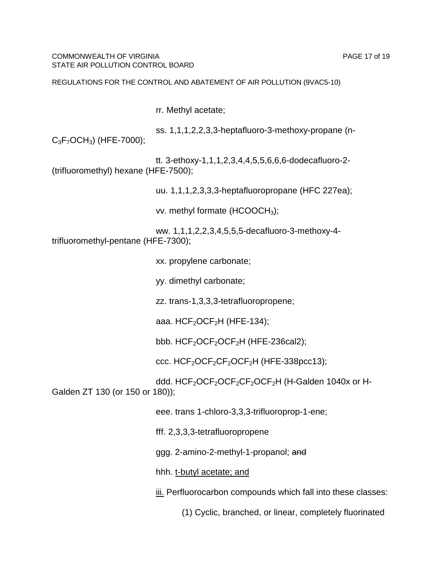COMMONWEALTH OF VIRGINIA PAGE 17 of 19 STATE AIR POLLUTION CONTROL BOARD

#### REGULATIONS FOR THE CONTROL AND ABATEMENT OF AIR POLLUTION (9VAC5-10)

rr. Methyl acetate;

ss. 1,1,1,2,2,3,3-heptafluoro-3-methoxy-propane (n- $C_3F_7OCH_3$ ) (HFE-7000);

tt. 3-ethoxy-1,1,1,2,3,4,4,5,5,6,6,6-dodecafluoro-2- (trifluoromethyl) hexane (HFE-7500);

uu. 1,1,1,2,3,3,3-heptafluoropropane (HFC 227ea);

vv. methyl formate  $(HCOOCH<sub>3</sub>)$ ;

ww. 1,1,1,2,2,3,4,5,5,5-decafluoro-3-methoxy-4 trifluoromethyl-pentane (HFE-7300);

xx. propylene carbonate;

yy. dimethyl carbonate;

zz. trans-1,3,3,3-tetrafluoropropene;

aaa.  $HCF<sub>2</sub>OCF<sub>2</sub>H$  (HFE-134);

bbb.  $HCF<sub>2</sub>OCF<sub>2</sub>OCF<sub>2</sub>H$  (HFE-236cal2);

ccc.  $HCF<sub>2</sub>OCF<sub>2</sub>CF<sub>2</sub>OCF<sub>2</sub>H$  (HFE-338pcc13);

ddd. HCF<sub>2</sub>OCF<sub>2</sub>OCF<sub>2</sub>CF<sub>2</sub>OCF<sub>2</sub>H (H-Galden 1040x or H-Galden ZT 130 (or 150 or 180));

eee. trans 1-chloro-3,3,3-trifluoroprop-1-ene;

fff. 2,3,3,3-tetrafluoropropene

ggg. 2-amino-2-methyl-1-propanol; and

hhh. t-butyl acetate; and

iii. Perfluorocarbon compounds which fall into these classes:

(1) Cyclic, branched, or linear, completely fluorinated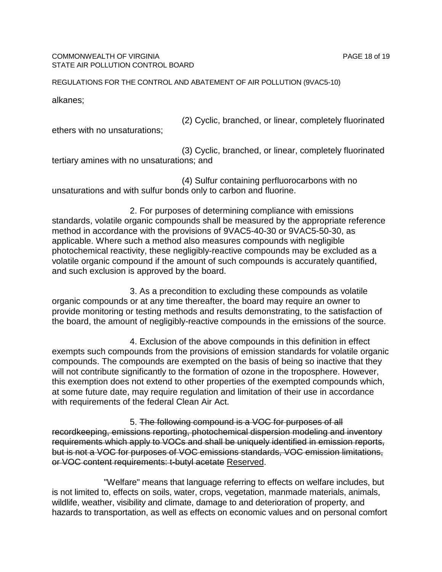#### COMMONWEALTH OF VIRGINIA PAGE 18 of 19 STATE AIR POLLUTION CONTROL BOARD

REGULATIONS FOR THE CONTROL AND ABATEMENT OF AIR POLLUTION (9VAC5-10)

alkanes;

(2) Cyclic, branched, or linear, completely fluorinated

ethers with no unsaturations;

(3) Cyclic, branched, or linear, completely fluorinated tertiary amines with no unsaturations; and

(4) Sulfur containing perfluorocarbons with no unsaturations and with sulfur bonds only to carbon and fluorine.

2. For purposes of determining compliance with emissions standards, volatile organic compounds shall be measured by the appropriate reference method in accordance with the provisions of 9VAC5-40-30 or 9VAC5-50-30, as applicable. Where such a method also measures compounds with negligible photochemical reactivity, these negligibly-reactive compounds may be excluded as a volatile organic compound if the amount of such compounds is accurately quantified, and such exclusion is approved by the board.

3. As a precondition to excluding these compounds as volatile organic compounds or at any time thereafter, the board may require an owner to provide monitoring or testing methods and results demonstrating, to the satisfaction of the board, the amount of negligibly-reactive compounds in the emissions of the source.

4. Exclusion of the above compounds in this definition in effect exempts such compounds from the provisions of emission standards for volatile organic compounds. The compounds are exempted on the basis of being so inactive that they will not contribute significantly to the formation of ozone in the troposphere. However, this exemption does not extend to other properties of the exempted compounds which, at some future date, may require regulation and limitation of their use in accordance with requirements of the federal Clean Air Act.

5. The following compound is a VOC for purposes of all recordkeeping, emissions reporting, photochemical dispersion modeling and inventory requirements which apply to VOCs and shall be uniquely identified in emission reports, but is not a VOC for purposes of VOC emissions standards, VOC emission limitations, or VOC content requirements: t-butyl acetate Reserved.

"Welfare" means that language referring to effects on welfare includes, but is not limited to, effects on soils, water, crops, vegetation, manmade materials, animals, wildlife, weather, visibility and climate, damage to and deterioration of property, and hazards to transportation, as well as effects on economic values and on personal comfort